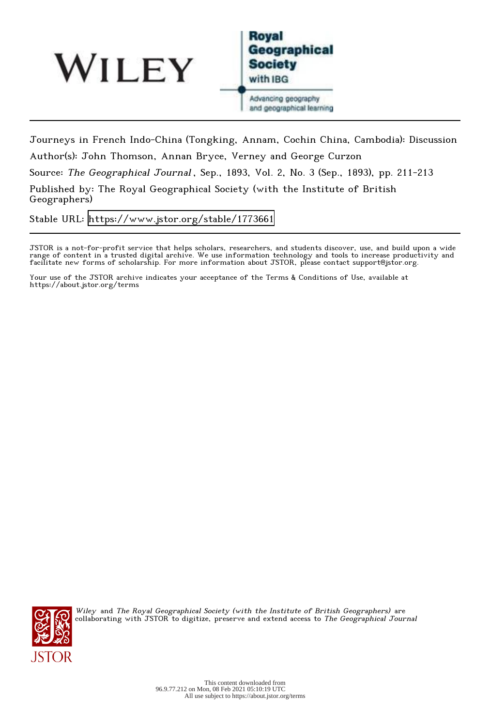



Journeys in French Indo-China (Tongking, Annam, Cochin China, Cambodia): Discussion Author(s): John Thomson, Annan Bryce, Verney and George Curzon

Source: The Geographical Journal, Sep., 1893, Vol. 2, No. 3 (Sep., 1893), pp. 211-213

Published by: The Royal Geographical Society (with the Institute of British Geographers)

Stable URL:<https://www.jstor.org/stable/1773661>

JSTOR is a not-for-profit service that helps scholars, researchers, and students discover, use, and build upon a wide range of content in a trusted digital archive. We use information technology and tools to increase productivity and facilitate new forms of scholarship. For more information about JSTOR, please contact support@jstor.org.

Your use of the JSTOR archive indicates your acceptance of the Terms & Conditions of Use, available at https://about.jstor.org/terms



Wiley and The Royal Geographical Society (with the Institute of British Geographers) are collaborating with JSTOR to digitize, preserve and extend access to *The Geographical Journal*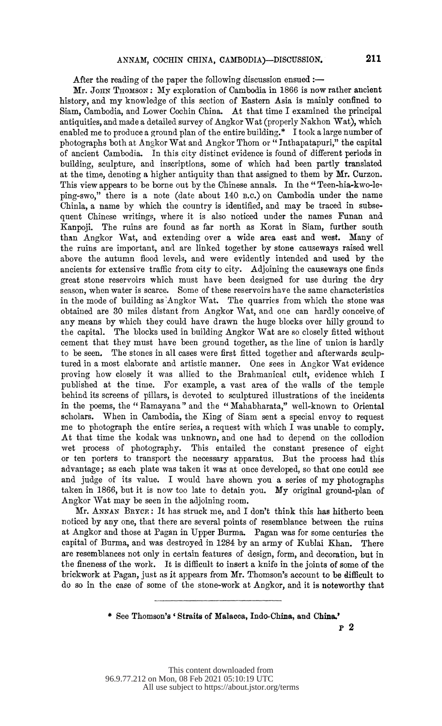After the reading of the paper the following discussion ensued  $:$ 

Mr. JOHN THOMSON: My exploration of Cambodia in 1866 is now rather ancient history, and my knowledge of this section of Eastern Asia is mainly confined to Siam, Cambodia, and Lower Cochin China. At that time I examined the principal antiquities, and made a detailed survey of Angkor Wat (properly Nakhon Wat), which enabled me to produce a ground plan of the entire building.\* I took a large number of photographs both at Angkor Wat and Angkor Thom or "Inthapatapuri," the capital of ancient Cambodia. In this city distinct evidence is found of different periods in building, sculpture, and inscriptions, some of which had been partly translated at the time, denoting a higher antiquity than that assigned to them by Mr. Curzon. This view appears to be borne out by the Chinese annals. In the " Teen-hia-kwo-le' ping-swo," there is a note (date about 140 B.c.) on Cambodia under the name Chinla, a name by which the country is identified, and may be traced in subse quent Chinese writings, where it is also noticed under the names Funan and Kanpoji. The ruins are found as far north as Korat in Siam, further south than Angkor Wat, and extending over a wide area east and west. Many of the ruins are important, and are linked together by stone causeways raised well above the autumn flood levels, and were evidently intended and used by the ancients for extensive traffic from city to city. Adjoining the causeways one finds great stone reservoirs which must have been designed for use during the dry season, when water is scarce. Some of these reservoirs have the same characteristics in the mode of building as Angkor Wat. The quarries from which the stone was obtained are 30 miles distant from Angkor Wat, and one can hardly conceive of any means by which they could have drawn the huge blocks over hilly ground to the capital. The blocks used in building Angkor Wat are so closely fitted without cement that they must have been ground together, as the line of union is hardly to be seen. The stones in all cases were first fitted together and afterwards sculp tured in a most elaborate and artistic manner. One sees in Angkor Wat evidence proving how closely it was allied to the Brahmanical cult, evidence which I published at the time. For example, a vast area of the walls of the temple behind its screens of pillars, is devoted to sculptured illustrations of the incidents in the poems, the " Ramayana" and the " Mahabharata," well-known to Oriental scholars. When in Cambodia, the King of Siam sent a special envoy to request me to photograph the entire series, a request with which I was unable to comply. At that time the kodak was unknown, and one had to depend on the collodion wet process of photography. This entailed the constant presence of eight or ten porters to transport the necessary apparatus. But the process had this advantage; as each plate was taken it was at once developed, so that one could see and judge of its value. I would have shown you a series of my photographs taken in 1866, but it is now too late to detain you. My original ground-plan of Angkor Wat may be seen in the adjoining room.

Mr. ANNAN BRYCE: It has struck me, and I don't think this has hitherto been noticed by any one, that there are several points of resemblance between the ruins at Angkor and those at Pagan in Upper Burma. Pagan was for some centuries the capital of Burma, and was destroyed in 1284 by an army of Kublai Khan. There are resemblances not only in certain features of design, form, and decoration, but in the fineness of the work. It is difficult to insert a knife in the joints of some of the brickwork at Pagan, just as it appears from Mr. Thomson's account to be difficult to do so in the case of some of the stone-work at Angkor, and it is noteworthy that

\* See Thomson's' Straits of Malacca, Indo-China, and China.'

P 2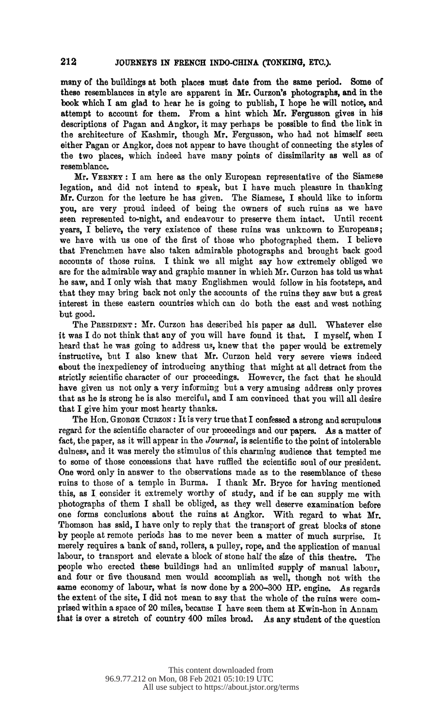many of the buildings at both places must date from the same period. Some of these resemblances in style are apparent in Mr. Curzon's photographs, and in the book which I am glad to hear he is going to publish, I hope he will notice, and attempt to account for them. From a hint which Mr. Fergusson gives in his descriptions of Pagan and Angkor, it may perhaps be possible to find the link in the architecture of Kashmir, though Mr, Fergusson, who had not himself seen either Pagan or Angkor, does not appear to have thought of connecting the styles of the two places, which indeed have many points of dissimilarity as well as of resemblance.

 Mr. VERNEY: I am here as the only European representative of the Siamese legation, and did not intend to speak, but I have much pleasure in thanking Mr. Curzon for the lecture he has given. The Siamese, I should like to inform you, are very proud indeed of being the owners of such ruins as we have seen represented to-night, and endeavour to preserve them intact. Until recent years, I believe, the very existence of these ruins was unknown to Europeans; we have with us one of the first of those who photographed them. I believe that Frenchmen have also taken admirable photographs and brought back good accounts of those ruins. I think we all might say how extremely obliged we are for the admirable way and graphic manner in which Mr. Curzon has told us what he saw, and I only wish that many Englishmen would follow in his footsteps, and that they may bring back not only the accounts of the ruins they saw but a great interest in these eastern countries which can do both the east and west nothing but good.

 The PRESIDENT: Mr. Curzon has described his paper as dull. Whatever else it was I do not think that any of you will have found it that. I myself, when I heard that he was going to address us, knew that the paper would be extremely instructive, but I also knew that Mr. Curzon held very severe views indeed about the inexpediency of introducing anything that might at all detract from the strictly scientific character of our proceedings. However, the fact that he should have given us not only a very informing but a very amusing address only proves that as he is strong he is also merciful, and I am convinced that you will all desire that I give him your most hearty thanks.

The Hon. GEORGE CURZON: It is very true that I confessed a strong and scrupulous regard for the scientific character of our proceedings and our papers. As a matter of fact, the paper, as it will appear in the Journal, is scientific to the point of intolerable dulness, and it was merely the stimulus of this charming audience that tempted me to some of those concessions that have ruffled the scientific soul of our president. One word only in answer to the observations made as to the resemblance of these ruins to those of a temple in Burma. I thank Mr. Bryce for having mentioned this, as I consider it extremely worthy of study, and if he can supply me with photographs of them I shall be obliged, as they well deserve examination before one forms conclusions about the ruins at Angkor. With regard to what Mr. Thomson has said, I have only to reply that the transport of great blocks of stone by people at remote periods has to me never been a matter of much surprise. It merely requires a bank of sand, rollers, a pulley, rope, and the application of manual labour, to transport and elevate a block of stone half the size of this theatre. The people who erected these buildings had an unlimited supply of manual labour, and four or five thousand men would accomplish as well, though not with the same economy of labour, what is now done by a 200-300 HP. engine. As regards the extent of the site, I did not mean to say that the whole of the ruins were com prised within a space of 20 miles, because I have seen them at Kwin-hon in Annam that is over a stretch of country 400 miles broad. As any student of the question